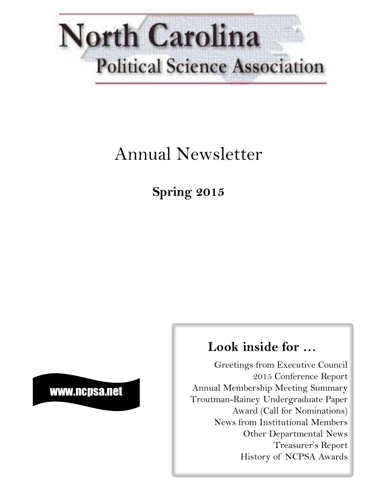

# Annual Newsletter

**Spring 2015**

## www.ncpsa.net

## **Look inside for …**

Greetings from Executive Council 2015 Conference Report Annual Membership Meeting Summary Troutman-Rainey Undergraduate Paper Award (Call for Nominations) News from Institutional Members Other Departmental News Treasurer's Report History of NCPSA Awards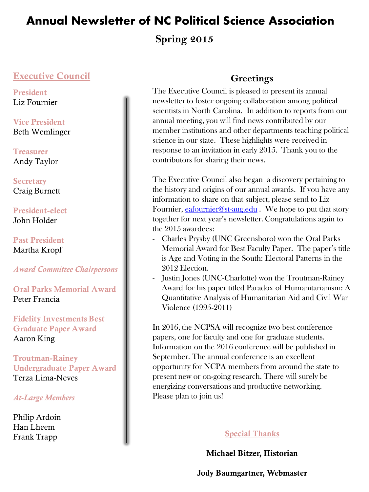**Spring 2015**

### **Executive Council**

**President** Liz Fournier

**Vice President** Beth Wemlinger

**Treasurer** Andy Taylor

**Secretary** Craig Burnett

**President-elect** John Holder

**Past President** Martha Kropf

*Award Committee Chairpersons*

**Oral Parks Memorial Award** Peter Francia

**Fidelity Investments Best Graduate Paper Award** Aaron King

**Troutman-Rainey Undergraduate Paper Award** Terza Lima-Neves

#### *At-Large Members*

Philip Ardoin Han Lheem Frank Trapp

### **Greetings**

The Executive Council is pleased to present its annual newsletter to foster ongoing collaboration among political scientists in North Carolina. In addition to reports from our annual meeting, you will find news contributed by our member institutions and other departments teaching political science in our state. These highlights were received in response to an invitation in early 2015. Thank you to the contributors for sharing their news.

The Executive Council also began a discovery pertaining to the history and origins of our annual awards. If you have any information to share on that subject, please send to Liz Fournier, [eafournier@st-aug.edu](mailto:eafournier@st-aug.edu) . We hope to put that story together for next year's newsletter. Congratulations again to the 2015 awardees:

- Charles Prysby (UNC Greensboro) won the Oral Parks Memorial Award for Best Faculty Paper. The paper's title is Age and Voting in the South: Electoral Patterns in the 2012 Election.
- Justin Jones (UNC-Charlotte) won the Troutman-Rainey Award for his paper titled Paradox of Humanitarianism: A Quantitative Analysis of Humanitarian Aid and Civil War Violence (1995-2011)

In 2016, the NCPSA will recognize two best conference papers, one for faculty and one for graduate students. Information on the 2016 conference will be published in September. The annual conference is an excellent opportunity for NCPA members from around the state to present new or on-going research. There will surely be energizing conversations and productive networking. Please plan to join us!

### **Special Thanks**

**Michael Bitzer, Historian**

**Jody Baumgartner, Webmaster**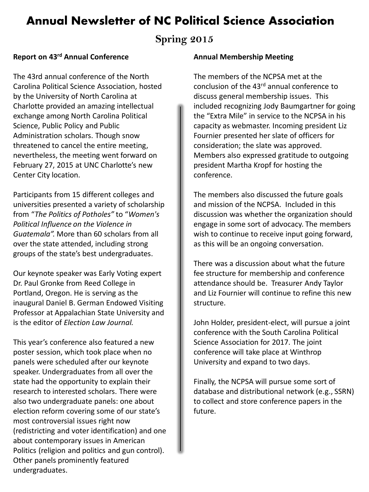### **Spring 2015**

#### **Report on 43rd Annual Conference**

The 43rd annual conference of the North Carolina Political Science Association, hosted by the University of North Carolina at Charlotte provided an amazing intellectual exchange among North Carolina Political Science, Public Policy and Public Administration scholars. Though snow threatened to cancel the entire meeting, nevertheless, the meeting went forward on February 27, 2015 at UNC Charlotte's new Center City location.

Participants from 15 different colleges and universities presented a variety of scholarship from "*The Politics of Potholes"* to "*Women's Political Influence on the Violence in Guatemala".* More than 60 scholars from all over the state attended, including strong groups of the state's best undergraduates.

Our keynote speaker was Early Voting expert Dr. Paul Gronke from Reed College in Portland, Oregon. He is serving as the inaugural Daniel B. German Endowed Visiting Professor at Appalachian State University and is the editor of *Election Law Journal.*

This year's conference also featured a new poster session, which took place when no panels were scheduled after our keynote speaker. Undergraduates from all over the state had the opportunity to explain their research to interested scholars. There were also two undergraduate panels: one about election reform covering some of our state's most controversial issues right now (redistricting and voter identification) and one about contemporary issues in American Politics (religion and politics and gun control). Other panels prominently featured undergraduates.

#### **Annual Membership Meeting**

The members of the NCPSA met at the conclusion of the 43rd annual conference to discuss general membership issues. This included recognizing Jody Baumgartner for going the "Extra Mile" in service to the NCPSA in his capacity as webmaster. Incoming president Liz Fournier presented her slate of officers for consideration; the slate was approved. Members also expressed gratitude to outgoing president Martha Kropf for hosting the conference.

The members also discussed the future goals and mission of the NCPSA. Included in this discussion was whether the organization should engage in some sort of advocacy. The members wish to continue to receive input going forward, as this will be an ongoing conversation.

There was a discussion about what the future fee structure for membership and conference attendance should be. Treasurer Andy Taylor and Liz Fournier will continue to refine this new structure.

John Holder, president-elect, will pursue a joint conference with the South Carolina Political Science Association for 2017. The joint conference will take place at Winthrop University and expand to two days.

Finally, the NCPSA will pursue some sort of database and distributional network (e.g., SSRN) to collect and store conference papers in the future.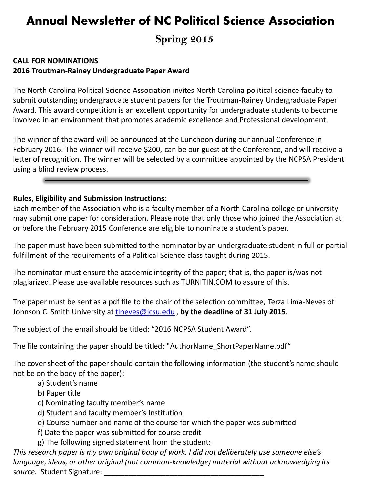**Spring 2015**

#### **CALL FOR NOMINATIONS 2016 Troutman-Rainey Undergraduate Paper Award**

The North Carolina Political Science Association invites North Carolina political science faculty to submit outstanding undergraduate student papers for the Troutman-Rainey Undergraduate Paper Award. This award competition is an excellent opportunity for undergraduate students to become involved in an environment that promotes academic excellence and Professional development.

The winner of the award will be announced at the Luncheon during our annual Conference in February 2016. The winner will receive \$200, can be our guest at the Conference, and will receive a letter of recognition. The winner will be selected by a committee appointed by the NCPSA President using a blind review process.

#### **Rules, Eligibility and Submission Instructions**:

Each member of the Association who is a faculty member of a North Carolina college or university may submit one paper for consideration. Please note that only those who joined the Association at or before the February 2015 Conference are eligible to nominate a student's paper.

The paper must have been submitted to the nominator by an undergraduate student in full or partial fulfillment of the requirements of a Political Science class taught during 2015.

The nominator must ensure the academic integrity of the paper; that is, the paper is/was not plagiarized. Please use available resources such as TURNITIN.COM to assure of this.

The paper must be sent as a pdf file to the chair of the selection committee, Terza Lima-Neves of Johnson C. Smith University at [tlneves@jcsu.edu](mailto:tlneves@jcsu.edu) , **by the deadline of 31 July 2015**.

The subject of the email should be titled: "2016 NCPSA Student Award".

The file containing the paper should be titled: "AuthorName\_ShortPaperName.pdf"

The cover sheet of the paper should contain the following information (the student's name should not be on the body of the paper):

- a) Student's name
- b) Paper title
- c) Nominating faculty member's name
- d) Student and faculty member's Institution
- e) Course number and name of the course for which the paper was submitted
- f) Date the paper was submitted for course credit
- g) The following signed statement from the student:

*This research paper is my own original body of work. I did not deliberately use someone else's language, ideas, or other original (not common-knowledge) material without acknowledging its*  source. Student Signature: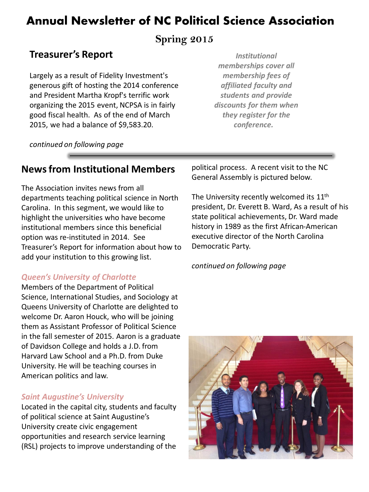### **Spring 2015**

## **Treasurer's Report**

Largely as a result of Fidelity Investment's generous gift of hosting the 2014 conference and President Martha Kropf's terrific work organizing the 2015 event, NCPSA is in fairly good fiscal health. As of the end of March 2015, we had a balance of \$9,583.20.

*Institutional memberships cover all membership fees of affiliated faculty and students and provide discounts for them when they register for the conference.* 

*continued on following page*

### **News from Institutional Members**

The Association invites news from all departments teaching political science in North Carolina. In this segment, we would like to highlight the universities who have become institutional members since this beneficial option was re-instituted in 2014. See Treasurer's Report for information about how to add your institution to this growing list.

#### *Queen's University of Charlotte*

Members of the Department of Political Science, International Studies, and Sociology at Queens University of Charlotte are delighted to welcome Dr. Aaron Houck, who will be joining them as Assistant Professor of Political Science in the fall semester of 2015. Aaron is a graduate of Davidson College and holds a J.D. from Harvard Law School and a Ph.D. from Duke University. He will be teaching courses in American politics and law.

#### *Saint Augustine's University*

Located in the capital city, students and faculty of political science at Saint Augustine's University create civic engagement opportunities and research service learning (RSL) projects to improve understanding of the political process. A recent visit to the NC General Assembly is pictured below.

The University recently welcomed its 11<sup>th</sup> president, Dr. Everett B. Ward, As a result of his state political achievements, Dr. Ward made history in 1989 as the first African-American executive director of the North Carolina Democratic Party.

#### *continued on following page*

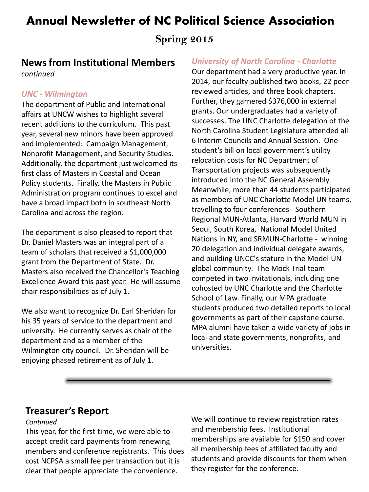**Spring 2015**

### **News from Institutional Members**

*continued*

#### *UNC - Wilmington*

The department of Public and International affairs at UNCW wishes to highlight several recent additions to the curriculum. This past year, several new minors have been approved and implemented: Campaign Management, Nonprofit Management, and Security Studies. Additionally, the department just welcomed its first class of Masters in Coastal and Ocean Policy students. Finally, the Masters in Public Administration program continues to excel and have a broad impact both in southeast North Carolina and across the region.

The department is also pleased to report that Dr. Daniel Masters was an integral part of a team of scholars that received a \$1,000,000 grant from the Department of State. Dr. Masters also received the Chancellor's Teaching Excellence Award this past year. He will assume chair responsibilities as of July 1.

We also want to recognize Dr. Earl Sheridan for his 35 years of service to the department and university. He currently serves as chair of the department and as a member of the Wilmington city council. Dr. Sheridan will be enjoying phased retirement as of July 1.

#### *University of North Carolina - Charlotte*

Our department had a very productive year. In 2014, our faculty published two books, 22 peerreviewed articles, and three book chapters. Further, they garnered \$376,000 in external grants. Our undergraduates had a variety of successes. The UNC Charlotte delegation of the North Carolina Student Legislature attended all 6 Interim Councils and Annual Session. One student's bill on local government's utility relocation costs for NC Department of Transportation projects was subsequently introduced into the NC General Assembly. Meanwhile, more than 44 students participated as members of UNC Charlotte Model UN teams, travelling to four conferences- Southern Regional MUN-Atlanta, Harvard World MUN in Seoul, South Korea, National Model United Nations in NY, and SRMUN-Charlotte - winning 20 delegation and individual delegate awards, and building UNCC's stature in the Model UN global community. The Mock Trial team competed in two invitationals, including one cohosted by UNC Charlotte and the Charlotte School of Law. Finally, our MPA graduate students produced two detailed reports to local governments as part of their capstone course. MPA alumni have taken a wide variety of jobs in local and state governments, nonprofits, and universities.

#### **Treasurer's Report**

#### *Continued*

This year, for the first time, we were able to accept credit card payments from renewing members and conference registrants. This does cost NCPSA a small fee per transaction but it is clear that people appreciate the convenience.

We will continue to review registration rates and membership fees. Institutional memberships are available for \$150 and cover all membership fees of affiliated faculty and students and provide discounts for them when they register for the conference.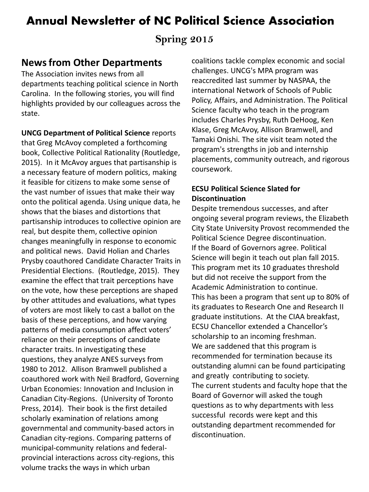### **Spring 2015**

### **News from Other Departments**

The Association invites news from all departments teaching political science in North Carolina. In the following stories, you will find highlights provided by our colleagues across the state.

**UNCG Department of Political Science** reports that Greg McAvoy completed a forthcoming book, Collective Political Rationality (Routledge, 2015). In it McAvoy argues that partisanship is a necessary feature of modern politics, making it feasible for citizens to make some sense of the vast number of issues that make their way onto the political agenda. Using unique data, he shows that the biases and distortions that partisanship introduces to collective opinion are real, but despite them, collective opinion changes meaningfully in response to economic and political news. David Holian and Charles Prysby coauthored Candidate Character Traits in Presidential Elections. (Routledge, 2015). They examine the effect that trait perceptions have on the vote, how these perceptions are shaped by other attitudes and evaluations, what types of voters are most likely to cast a ballot on the basis of these perceptions, and how varying patterns of media consumption affect voters' reliance on their perceptions of candidate character traits. In investigating these questions, they analyze ANES surveys from 1980 to 2012. Allison Bramwell published a coauthored work with Neil Bradford, Governing Urban Economies: Innovation and Inclusion in Canadian City-Regions. (University of Toronto Press, 2014). Their book is the first detailed scholarly examination of relations among governmental and community-based actors in Canadian city-regions. Comparing patterns of municipal-community relations and federalprovincial interactions across city-regions, this volume tracks the ways in which urban

coalitions tackle complex economic and social challenges. UNCG's MPA program was reaccredited last summer by NASPAA, the international Network of Schools of Public Policy, Affairs, and Administration. The Political Science faculty who teach in the program includes Charles Prysby, Ruth DeHoog, Ken Klase, Greg McAvoy, Allison Bramwell, and Tamaki Onishi. The site visit team noted the program's strengths in job and internship placements, community outreach, and rigorous coursework.

#### **ECSU Political Science Slated for Discontinuation**

Despite tremendous successes, and after ongoing several program reviews, the Elizabeth City State University Provost recommended the Political Science Degree discontinuation. If the Board of Governors agree. Political Science will begin it teach out plan fall 2015. This program met its 10 graduates threshold but did not receive the support from the Academic Administration to continue. This has been a program that sent up to 80% of its graduates to Research One and Research II graduate institutions. At the CIAA breakfast, ECSU Chancellor extended a Chancellor's scholarship to an incoming freshman. We are saddened that this program is recommended for termination because its outstanding alumni can be found participating and greatly contributing to society. The current students and faculty hope that the Board of Governor will asked the tough questions as to why departments with less successful records were kept and this outstanding department recommended for discontinuation.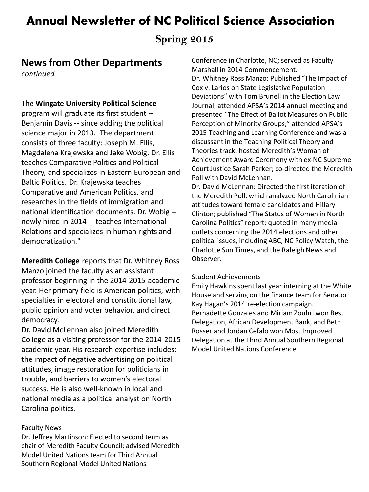## **Spring 2015**

### **News from Other Departments**

*continued*

#### The **Wingate University Political Science**

program will graduate its first student -- Benjamin Davis -- since adding the political science major in 2013. The department consists of three faculty: Joseph M. Ellis, Magdalena Krajewska and Jake Wobig. Dr. Ellis teaches Comparative Politics and Political Theory, and specializes in Eastern European and Baltic Politics. Dr. Krajewska teaches Comparative and American Politics, and researches in the fields of immigration and national identification documents. Dr. Wobig - newly hired in 2014 -- teaches International Relations and specializes in human rights and democratization."

**Meredith College** reports that Dr. Whitney Ross Manzo joined the faculty as an assistant professor beginning in the 2014-2015 academic year. Her primary field is American politics, with specialties in electoral and constitutional law, public opinion and voter behavior, and direct democracy.

Dr. David McLennan also joined Meredith College as a visiting professor for the 2014-2015 academic year. His research expertise includes: the impact of negative advertising on political attitudes, image restoration for politicians in trouble, and barriers to women's electoral success. He is also well-known in local and national media as a political analyst on North Carolina politics.

#### Faculty News

Dr. Jeffrey Martinson: Elected to second term as chair of Meredith Faculty Council; advised Meredith Model United Nations team for Third Annual Southern Regional Model United Nations

Conference in Charlotte, NC; served as Faculty Marshall in 2014 Commencement. Dr. Whitney Ross Manzo: Published "The Impact of Cox v. Larios on State Legislative Population Deviations" with Tom Brunell in the Election Law Journal; attended APSA's 2014 annual meeting and presented "The Effect of Ballot Measures on Public Perception of Minority Groups;" attended APSA's 2015 Teaching and Learning Conference and was a discussant in the Teaching Political Theory and Theories track; hosted Meredith's Woman of Achievement Award Ceremony with ex-NC Supreme Court Justice Sarah Parker; co-directed the Meredith Poll with David McLennan.

Dr. David McLennan: Directed the first iteration of the Meredith Poll, which analyzed North Carolinian attitudes toward female candidates and Hillary Clinton; published "The Status of Women in North Carolina Politics" report; quoted in many media outlets concerning the 2014 elections and other political issues, including ABC, NC Policy Watch, the Charlotte Sun Times, and the Raleigh News and Observer.

#### Student Achievements

Emily Hawkins spent last year interning at the White House and serving on the finance team for Senator Kay Hagan's 2014 re-election campaign. Bernadette Gonzales and Miriam Zouhri won Best Delegation, African Development Bank, and Beth Rosser and Jordan Cefalo won Most Improved Delegation at the Third Annual Southern Regional Model United Nations Conference.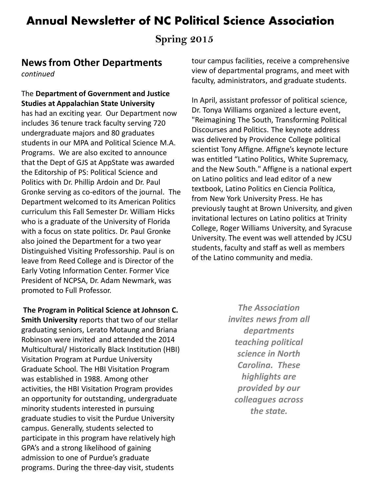**Spring 2015**

### **News from Other Departments**

*continued*

#### The **Department of Government and Justice Studies at Appalachian State University**

has had an exciting year. Our Department now includes 36 tenure track faculty serving 720 undergraduate majors and 80 graduates students in our MPA and Political Science M.A. Programs. We are also excited to announce that the Dept of GJS at AppState was awarded the Editorship of PS: Political Science and Politics with Dr. Phillip Ardoin and Dr. Paul Gronke serving as co-editors of the journal. The Department welcomed to its American Politics curriculum this Fall Semester Dr. William Hicks who is a graduate of the University of Florida with a focus on state politics. Dr. Paul Gronke also joined the Department for a two year Distinguished Visiting Professorship. Paul is on leave from Reed College and is Director of the Early Voting Information Center. Former Vice President of NCPSA, Dr. Adam Newmark, was promoted to Full Professor.

**The Program in Political Science at Johnson C. Smith University** reports that two of our stellar graduating seniors, Lerato Motaung and Briana Robinson were invited and attended the 2014 Multicultural/ Historically Black Institution (HBI) Visitation Program at Purdue University Graduate School. The HBI Visitation Program was established in 1988. Among other activities, the HBI Visitation Program provides an opportunity for outstanding, undergraduate minority students interested in pursuing graduate studies to visit the Purdue University campus. Generally, students selected to participate in this program have relatively high GPA's and a strong likelihood of gaining admission to one of Purdue's graduate programs. During the three-day visit, students

tour campus facilities, receive a comprehensive view of departmental programs, and meet with faculty, administrators, and graduate students.

In April, assistant professor of political science, Dr. Tonya Williams organized a lecture event, "Reimagining The South, Transforming Political Discourses and Politics. The keynote address was delivered by Providence College political scientist Tony Affigne. Affigne's keynote lecture was entitled "Latino Politics, White Supremacy, and the New South." Affigne is a national expert on Latino politics and lead editor of a new textbook, Latino Politics en Ciencia Política, from New York University Press. He has previously taught at Brown University, and given invitational lectures on Latino politics at Trinity College, Roger Williams University, and Syracuse University. The event was well attended by JCSU students, faculty and staff as well as members of the Latino community and media.

> *The Association invites news from all departments teaching political science in North Carolina. These highlights are provided by our colleagues across the state.*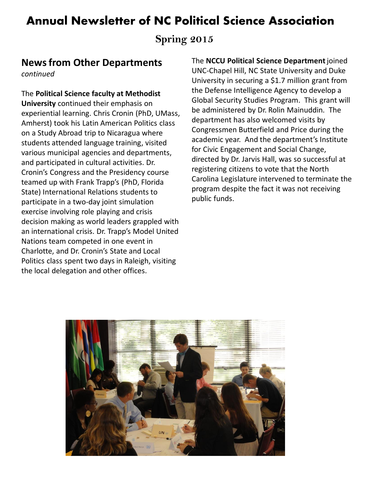**Spring 2015**

## **News from Other Departments**

*continued*

The **Political Science faculty at Methodist University** continued their emphasis on experiential learning. Chris Cronin (PhD, UMass, Amherst) took his Latin American Politics class on a Study Abroad trip to Nicaragua where students attended language training, visited various municipal agencies and departments, and participated in cultural activities. Dr. Cronin's Congress and the Presidency course teamed up with Frank Trapp's (PhD, Florida State) International Relations students to participate in a two-day joint simulation exercise involving role playing and crisis decision making as world leaders grappled with an international crisis. Dr. Trapp's Model United Nations team competed in one event in Charlotte, and Dr. Cronin's State and Local Politics class spent two days in Raleigh, visiting the local delegation and other offices.

The **NCCU Political Science Department** joined UNC-Chapel Hill, NC State University and Duke University in securing a \$1.7 million grant from the Defense Intelligence Agency to develop a Global Security Studies Program. This grant will be administered by Dr. Rolin Mainuddin. The department has also welcomed visits by Congressmen Butterfield and Price during the academic year. And the department's Institute for Civic Engagement and Social Change, directed by Dr. Jarvis Hall, was so successful at registering citizens to vote that the North Carolina Legislature intervened to terminate the program despite the fact it was not receiving public funds.